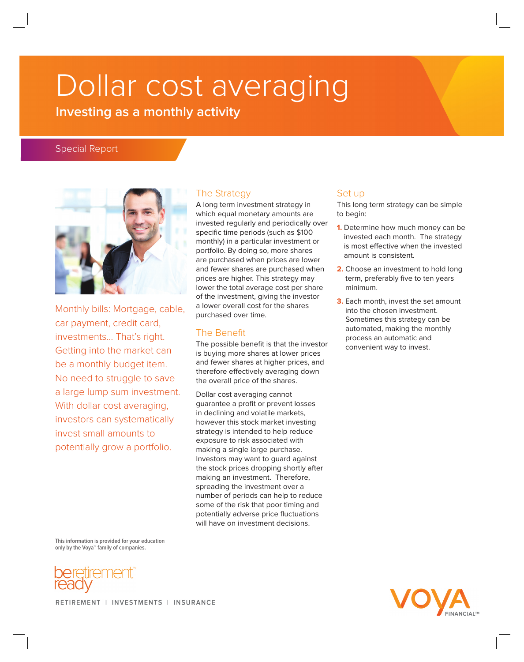# Dollar cost averaging

# **Investing as a monthly activity**

# Special Report



Monthly bills: Mortgage, cable, car payment, credit card, investments… That's right. Getting into the market can be a monthly budget item. No need to struggle to save a large lump sum investment. With dollar cost averaging, investors can systematically invest small amounts to potentially grow a portfolio.

### The Strategy

A long term investment strategy in which equal monetary amounts are invested regularly and periodically over specific time periods (such as \$100 monthly) in a particular investment or portfolio. By doing so, more shares are purchased when prices are lower and fewer shares are purchased when prices are higher. This strategy may lower the total average cost per share of the investment, giving the investor a lower overall cost for the shares purchased over time.

#### The Benefit

The possible benefit is that the investor is buying more shares at lower prices and fewer shares at higher prices, and therefore effectively averaging down the overall price of the shares.

Dollar cost averaging cannot guarantee a profit or prevent losses in declining and volatile markets, however this stock market investing strategy is intended to help reduce exposure to risk associated with making a single large purchase. Investors may want to guard against the stock prices dropping shortly after making an investment. Therefore, spreading the investment over a number of periods can help to reduce some of the risk that poor timing and potentially adverse price fluctuations will have on investment decisions.

#### Set up

This long term strategy can be simple to begin:

- **1.** Determine how much money can be invested each month. The strategy is most effective when the invested amount is consistent.
- **2.** Choose an investment to hold long term, preferably five to ten years minimum.
- **3.** Each month, invest the set amount into the chosen investment. Sometimes this strategy can be automated, making the monthly process an automatic and convenient way to invest.

**This information is provided for your education only by the Voya™ family of companies.**





RETIREMENT | INVESTMENTS | INSURANCE